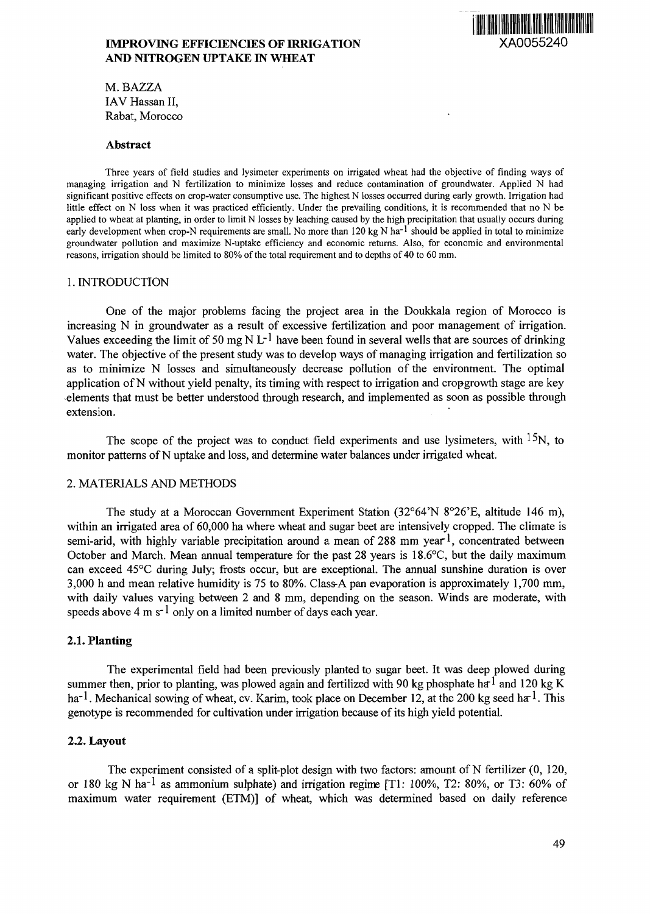# **IMPROVING EFFICIENCIES OF IRRIGATION METALLY STATES AND NITROGEN UPTAKE IN WHEAT**



M. BAZZA IAV Hassan II, Rabat, Morocco

#### **Abstract**

Three years of field studies and lysimeter experiments on irrigated wheat had the objective of finding ways of managing irrigation and N fertilization to minimize losses and reduce contamination of groundwater. Applied N had significant positive effects on crop-water consumptive use. The highest N losses occurred during early growth. Irrigation had little effect on N loss when it was practiced efficiently. Under the prevailing conditions, it is recommended that no N be applied to wheat at planting, in order to limit N losses by leaching caused by the high precipitation that usually occurs during early development when crop-N requirements are small. No more than  $120 \text{ kg N}$  ha<sup>-1</sup> should be applied in total to minimize groundwater pollution and maximize N-uptake efficiency and economic returns. Also, for economic and environmental reasons, irrigation should be limited to 80% of the total requirement and to depths of 40 to 60 mm.

## 1. INTRODUCTION

One of the major problems facing the project area in the Doukkala region of Morocco is increasing N in groundwater as a result of excessive fertilization and poor management of irrigation. Values exceeding the limit of 50 mg N  $L^{-1}$  have been found in several wells that are sources of drinking water. The objective of the present study was to develop ways of managing irrigation and fertilization so as to minimize N losses and simultaneously decrease pollution of the environment. The optimal application of N without yield penalty, its timing with respect to irrigation and cropgrowth stage are key elements that must be better understood through research, and implemented as soon as possible through extension.

The scope of the project was to conduct field experiments and use lysimeters, with <sup>15</sup>N, to monitor patterns of N uptake and loss, and determine water balances under irrigated wheat.

## 2. MATERIALS AND METHODS

The study at a Moroccan Government Experiment Station (32°64'N 8°26'E, altitude 146 m), within an irrigated area of 60,000 ha where wheat and sugar beet are intensively cropped. The climate is semi-arid, with highly variable precipitation around a mean of 288 mm year  $l$ , concentrated between October and March. Mean annual temperature for the past 28 years is 18.6°C, but the daily maximum can exceed 45°C during July; frosts occur, but are exceptional. The annual sunshine duration is over 3,000 h and mean relative humidity is 75 to 80%. Class-A pan evaporation is approximately 1,700 mm, with daily values varying between 2 and 8 mm, depending on the season. Winds are moderate, with speeds above 4 m  $s^{-1}$  only on a limited number of days each year.

### **2.1. Planting**

The experimental field had been previously planted to sugar beet. It was deep plowed during summer then, prior to planting, was plowed again and fertilized with 90 kg phosphate ha<sup>-l</sup> and 120 kg K ha<sup>-1</sup>. Mechanical sowing of wheat, cv. Karim, took place on December 12, at the 200 kg seed ha<sup>-1</sup>. This genotype is recommended for cultivation under irrigation because of its high yield potential.

#### **2.2. Layout**

The experiment consisted of a split-plot design with two factors: amount of N fertilizer (0, 120, or 180 kg N ha<sup>-1</sup> as ammonium sulphate) and irrigation regime [T1: 100%, T2: 80%, or T3: 60% of maximum water requirement (ETM)] of wheat, which was determined based on daily reference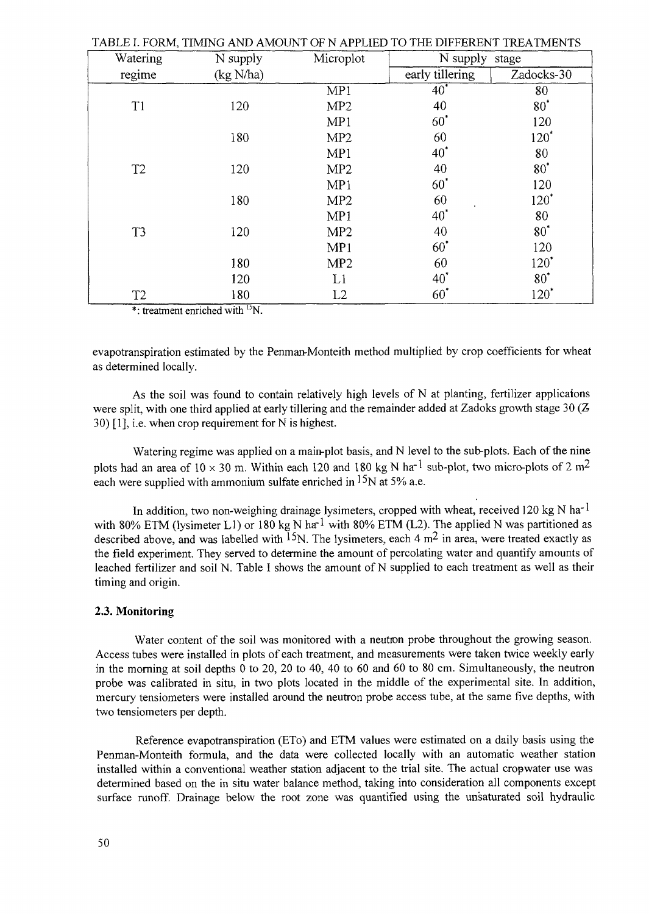|                |           | TABLE I. FORM, TIMING AND AMOUNT OF N APPLIED TO THE DIFFERENT TREATMENTS |                 |            |
|----------------|-----------|---------------------------------------------------------------------------|-----------------|------------|
| Watering       | N supply  | Microplot                                                                 | N supply stage  |            |
| regime         | (kg N/ha) |                                                                           | early tillering | Zadocks-30 |
|                |           | MP1                                                                       | $40^*$          | 80         |
| T1             | 120       | MP <sub>2</sub>                                                           | 40              | $80^*$     |
|                |           | MP1                                                                       | $60^{\circ}$    | 120        |
|                | 180       | MP <sub>2</sub>                                                           | 60              | $120^*$    |
|                |           | MP1                                                                       | $40^*$          | 80         |
| T <sub>2</sub> | 120       | MP2                                                                       | 40              | $80^*$     |
|                |           | MP1                                                                       | $60^*$          | 120        |
|                | 180       | MP <sub>2</sub>                                                           | 60              | $120^*$    |
|                |           | MP1                                                                       | $40^*$          | 80         |
| T <sub>3</sub> | 120       | MP <sub>2</sub>                                                           | 40              | $80^*$     |
|                |           | MP1                                                                       | $60^{\circ}$    | 120        |
|                | 180       | MP <sub>2</sub>                                                           | 60              | $120^*$    |
|                | 120       | L1                                                                        | $40^{\circ}$    | $80^*$     |
| T <sub>2</sub> | 180       | L2                                                                        | $60^*$          | $120^*$    |

TABLE I. FORM, TIMING AND AMOUNT OF N APPLIED TO THE DIFFERENT TREATMENTS

\*: treatment enriched with <sup>15</sup>N.

evapotranspiration estimated by the Penman-Monteith method multiplied by crop coefficients for wheat as determined locally.

As the soil was found to contain relatively high levels of N at planting, fertilizer applicaions were split, with one third applied at early tillering and the remainder added at Zadoks growth stage 30  $(Z$ 30) [1], i.e. when crop requirement for N is highest.

Watering regime was applied on a main-plot basis, and N level to the sub-plots. Each of the nine plots had an area of  $10 \times 30$  m. Within each 120 and 180 kg N ha<sup>-1</sup> sub-plot, two micro-plots of 2 m<sup>2</sup> each were supplied with ammonium sulfate enriched in  $15N$  at 5% a.e.

In addition, two non-weighing drainage lysimeters, cropped with wheat, received 120 kg N ha<sup>-1</sup> with 80% ETM (lysimeter L1) or 180 kg N ha<sup>-1</sup> with 80% ETM (L2). The applied N was partitioned as described above, and was labelled with <sup>15</sup>N. The lysimeters, each 4 $m<sup>2</sup>$  in area, were treated exactly as the field experiment. They served to determine the amount of percolating water and quantify amounts of leached fertilizer and soil N. Table I shows the amount of N supplied to each treatment as well as their timing and origin.

### **2.3. Monitoring**

Water content of the soil was monitored with a neutron probe throughout the growing season. Access tubes were installed in plots of each treatment, and measurements were taken twice weekly early in the morning at soil depths 0 to 20, 20 to 40, 40 to 60 and 60 to 80 cm. Simultaneously, the neutron probe was calibrated in situ, in two plots located in the middle of the experimental site. In addition, mercury tensiometers were installed around the neutron probe access tube, at the same five depths, with two tensiometers per depth.

Reference evapotranspiration (ETo) and ETM values were estimated on a daily basis using the Penman-Monteith formula, and the data were collected locally with an automatic weather station installed within a conventional weather station adjacent to the trial site. The actual cropwater use was determined based on the in situ water balance method, taking into consideration all components except surface runoff. Drainage below the root zone was quantified using the unsaturated soil hydraulic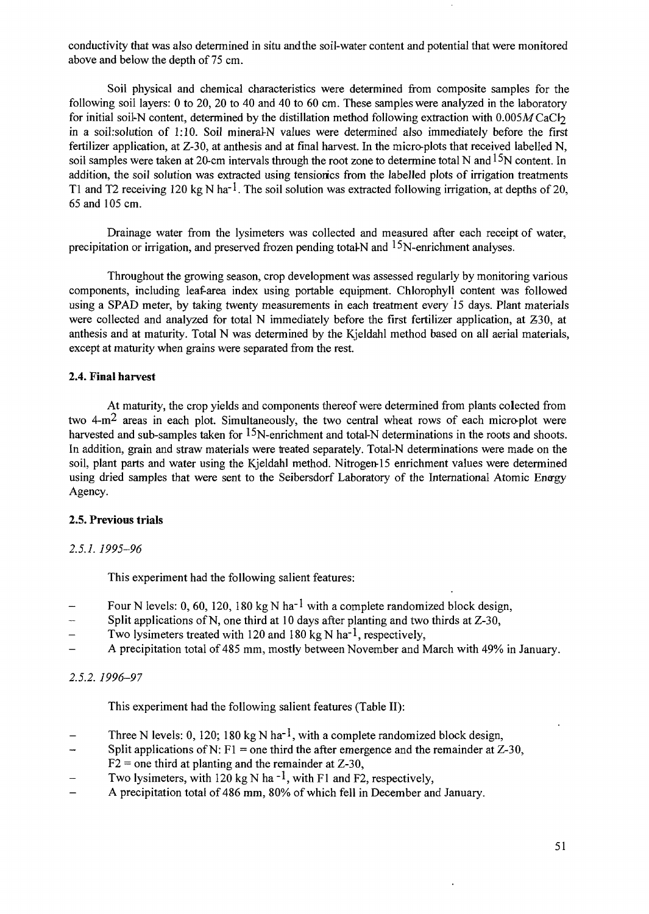conductivity that was also determined in situ and the soil-water content and potential that were monitored above and below the depth of 75 cm.

Soil physical and chemical characteristics were determined from composite samples for the following soil layers: 0 to 20, 20 to 40 and 40 to 60 cm. These samples were analyzed in the laboratory for initial soil-N content, determined by the distillation method following extraction with  $0.005M$ CaCl<sub>2</sub> in a soil:solution of 1:10. Soil mineral N values were determined also immediately before the first fertilizer application, at Z-30, at anthesis and at final harvest. In the micro-plots that received labelled N, soil samples were taken at 20-cm intervals through the root zone to determine total N and  $15N$  content. In addition, the soil solution was extracted using tensionics from the labelled plots of irrigation treatments T1 and T2 receiving 120 kg N ha<sup>-1</sup>. The soil solution was extracted following irrigation, at depths of 20, 65 and 105 cm.

Drainage water from the lysimeters was collected and measured after each receipt of water, precipitation or irrigation, and preserved frozen pending total-N and  $15N$ -enrichment analyses.

Throughout the growing season, crop development was assessed regularly by monitoring various components, including leaf-area index using portable equipment. Chlorophyll content was followed using a SPAD meter, by taking twenty measurements in each treatment every 15 days. Plant materials were collected and analyzed for total N immediately before the first fertilizer application, at Z30, at anthesis and at maturity. Total N was determined by the Kjeldahl method based on all aerial materials, except at maturity when grains were separated from the rest.

## **2.4. Final harvest**

At maturity, the crop yields and components thereof were determined from plants colected from two 4-m<sup>2</sup> areas in each plot. Simultaneously, the two central wheat rows of each micro-plot were harvested and sub-samples taken for  $15N$ -enrichment and total-N determinations in the roots and shoots. In addition, grain and straw materials were treated separately. Total-N determinations were made on the soil, plant parts and water using the Kjeldahl method. Nitrogen-15 enrichment values were determined using dried samples that were sent to the Seibersdorf Laboratory of the International Atomic Energy Agency.

### **2.5. Previous trials**

## *2.5.1. 1995-96*

This experiment had the following salient features:

- Four N levels: 0, 60, 120, 180 kg N ha<sup>-1</sup> with a complete randomized block design,
- Split applications of N, one third at 10 days after planting and two thirds at Z-30,
- Two lysimeters treated with 120 and 180 kg N ha<sup>-1</sup>, respectively,<br>- A precipitation total of 485 mm, mostly between November and N
- A precipitation total of 485 mm, mostly between November and March with 49% in January.

## *2.5.2. 1996-97*

This experiment had the following salient features (Table II):

- Three N levels: 0, 120; 180 kg N ha<sup>-1</sup>, with a complete randomized block design,
- Split applications of N: F1 = one third the after emergence and the remainder at  $Z-30$ ,
- $F2$  = one third at planting and the remainder at Z-30,
- Two lysimeters, with 120 kg N ha<sup>-1</sup>, with F1 and F2, respectively,
- A precipitation total of 486 mm, 80% of which fell in December and January.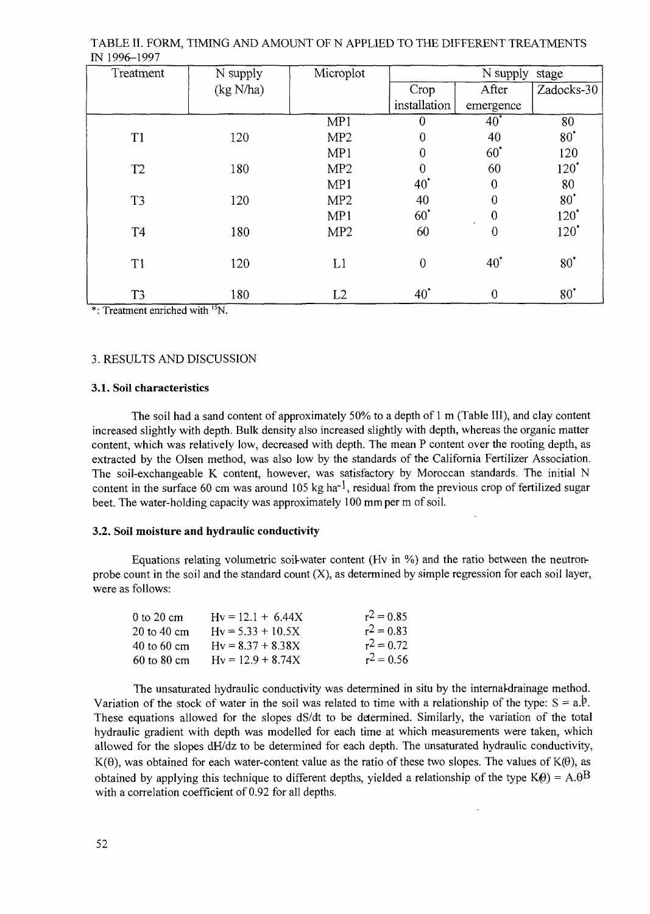| Treatment                 | N supply                  | Microplot       |                  | N supply         | stage      |
|---------------------------|---------------------------|-----------------|------------------|------------------|------------|
|                           | (kg N/ha)                 |                 | Crop             | After            | Zadocks-30 |
|                           |                           |                 | installation     | emergence        |            |
|                           |                           | MP1             | $\boldsymbol{0}$ | $40^*$           | 80         |
| T1                        | 120                       | MP <sub>2</sub> | $\mathbf{0}$     | 40               | $80^*$     |
|                           |                           | MP1             | $\mathbf{0}$     | $60^*$           | 120        |
| T <sub>2</sub>            | 180                       | MP <sub>2</sub> | $\overline{0}$   | 60               | $120^*$    |
|                           |                           | MP1             | $40^{\degree}$   | $\theta$         | 80         |
| T3                        | 120                       | MP <sub>2</sub> | 40               | $\Omega$         | $80^*$     |
|                           |                           | MP1             | $60^*$           | $\boldsymbol{0}$ | $120^*$    |
| <b>T4</b>                 | 180                       | MP <sub>2</sub> | 60               | $\overline{0}$   | $120^*$    |
| T1                        | 120                       | L1              | $\mathbf{0}$     | $40^*$           | $80^*$     |
| T <sub>3</sub><br>$+$ $-$ | 180<br>$2.1 - 1.241$ 15xx | L2              | $40^*$           | $\overline{0}$   | $80^*$     |

TABLE II. FORM, TIMING AND AMOUNT OF N APPLIED TO THE DIFFERENT TREATMENTS IN 1996-1997

\*: Treatment enriched with <sup>15</sup>N.

#### 3. RESULTS AND DISCUSSION

#### 3.1. **Soil** characteristics

The soil had a sand content of approximately 50% to a depth of 1 m (Table III), and clay content increased slightly with depth. Bulk density also increased slightly with depth, whereas the organic matter content, which was relatively low, decreased with depth. The mean P content over the rooting depth, as extracted by the Olsen method, was also low by the standards of the California Fertilizer Association. The soil-exchangeable K content, however, was satisfactory by Moroccan standards. The initial N content in the surface 60 cm was around 105 kg ha<sup>-1</sup>, residual from the previous crop of fertilized sugar beet. The water-holding capacity was approximately 100 mm per m of soil.

#### **3.2. Soil moisture and hydraulic conductivity**

Equations relating volumetric soil-water content (Hv in %) and the ratio between the neutronprobe count in the soil and the standard count (X), as determined by simple regression for each soil layer, were as follows:

| 0 to 20 cm  | $Hv = 12.1 + 6.44X$ | $r^2 = 0.85$ |
|-------------|---------------------|--------------|
| 20 to 40 cm | $Hv = 5.33 + 10.5X$ | $r^2 = 0.83$ |
| 40 to 60 cm | $Hv = 8.37 + 8.38X$ | $r^2 = 0.72$ |
| 60 to 80 cm | $Hv = 12.9 + 8.74X$ | $r^2 = 0.56$ |

The unsaturated hydraulic conductivity was determined in situ by the internal-drainage method. Variation of the stock of water in the soil was related to time with a relationship of the type:  $S = a.\dot{P}$ . These equations allowed for the slopes dS/dt to be determined. Similarly, the variation of the total hydraulic gradient with depth was modelled for each time at which measurements were taken, which allowed for the slopes dH/dz to be determined for each depth. The unsaturated hydraulic conductivity,  $K(\theta)$ , was obtained for each water-content value as the ratio of these two slopes. The values of  $K(\theta)$ , as obtained by applying this technique to different depths, yielded a relationship of the type  $K(\theta) = A \cdot \theta^B$ with a correlation coefficient of 0.92 for all depths.

 $\ddot{\phantom{0}}$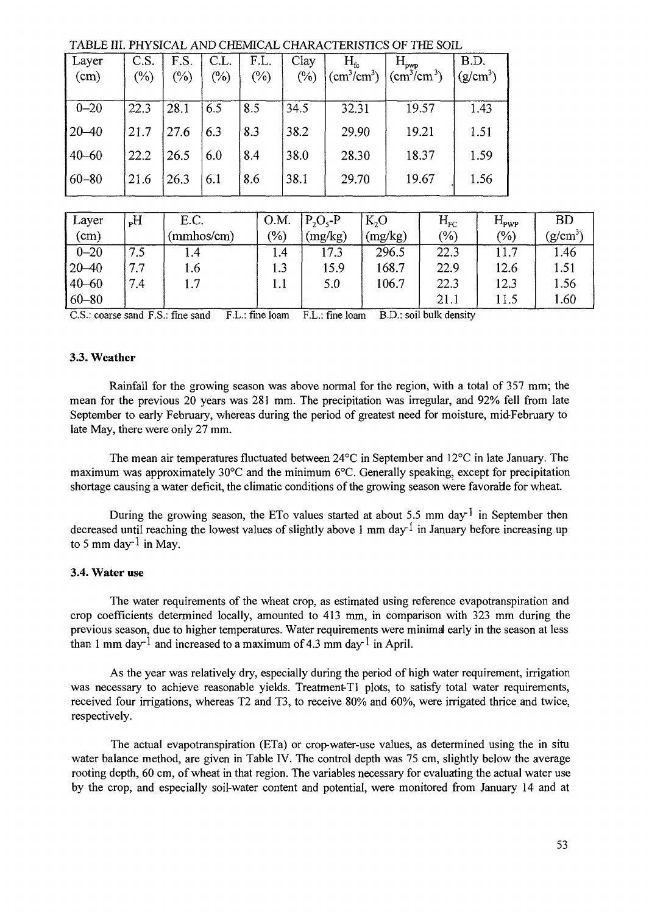TABLE III. PHYSICAL AND CHEMICAL CHARACTERISTICS OF THE SOIL

| Layer<br>(cm) | C.S.<br>$(\%)$ | F.S.<br>$(\%)$ | C.L.<br>$(\%)$ | F.L.<br>$(\%)$ | Clay<br>$(\%)$ | $\rm H_{\rm fc}$<br>$\text{(cm}^3/\text{cm}^3)$ | $H_{\text{pwp}}$<br>$\text{(cm}^3/\text{cm}^3)$ | B.D.<br>$(g/cm^3)$ |
|---------------|----------------|----------------|----------------|----------------|----------------|-------------------------------------------------|-------------------------------------------------|--------------------|
|               |                |                |                |                |                |                                                 |                                                 |                    |
| $0 - 20$      | 22.3           | 28.1           | 6.5            | 8.5            | 34.5           | 32.31                                           | 19.57                                           | 1.43               |
| $ 20 - 40 $   | 21.7           | 27.6           | 6.3            | 8.3            | 38.2           | 29.90                                           | 19.21                                           | 1.51               |
| $40 - 60$     | 22.2           | 26.5           | 6.0            | 8.4            | 38.0           | 28.30                                           | 18.37                                           | 1.59               |
| $60 - 80$     | 21.6           | 26.3           | 6.1            | 8.6            | 38.1           | 29.70                                           | 19.67                                           | 1.56               |

| Layer       | $H_q$ | E.C.       | O.M. | $P_2O_5-P$ | $K_2O$  | $H_{\rm FC}$ | $H_{\text{PWP}}$ | <b>BD</b>  |
|-------------|-------|------------|------|------------|---------|--------------|------------------|------------|
| (cm)        |       | (mmhos/cm) | (%)  | (mg/kg)    | (mg/kg) | (%)          | (%)              | $(g/cm^3)$ |
| $0 - 20$    | 7.5   | l.4        | I.4  | 17.3       | 296.5   | 22.3         | 11.7             | 1.46       |
| $ 20 - 40$  | 7.7   | 1.6        | 1.3  | 15.9       | 168.7   | 22.9         | 12.6             | 1.51       |
| $ 40 - 60 $ | 7.4   | 1.7        | l.l  | 5.0        | 106.7   | 22.3         | 12.3             | 1.56       |
| $60 - 80$   |       |            |      |            |         | 21.1         | 11.5             | 1.60       |

C.S.: coarse sand F.S.: fine sand F.L.: fine loam F.L.: fine loam B.D.: soil bulk density

## **3.3. Weather**

Rainfall for the growing season was above normal for the region, with a total of 357 mm; the mean for the previous 20 years was 281 mm. The precipitation was irregular, and 92% fell from late September to early February, whereas during the period of greatest need for moisture, mid-February to late May, there were only 27 mm.

The mean air temperatures fluctuated between 24°C in September and 12°C in late January. The maximum was approximately 30°C and the minimum 6°C. Generally speaking, except for precipitation shortage causing a water deficit, the climatic conditions of the growing season were favorable for wheat.

During the growing season, the ETo values started at about 5.5 mm day<sup>1</sup> in September then decreased until reaching the lowest values of slightly above 1 mm day  $1$  in January before increasing up to 5 mm day  $1$  in May.

### **3.4. Water use**

The water requirements of the wheat crop, as estimated using reference evapotranspiration and crop coefficients determined locally, amounted to 413 mm, in comparison with 323 mm during the previous season, due to higher temperatures. Water requirements were minimal early in the season at less than 1 mm day<sup>-1</sup> and increased to a maximum of 4.3 mm day<sup>-1</sup> in April.

As the year was relatively dry, especially during the period of high water requirement, irrigation was necessary to achieve reasonable yields. Treatment-Tl plots, to satisfy total water requirements, received four irrigations, whereas T2 and T3, to receive 80% and 60%, were irrigated thrice and twice, respectively.

The actual evapotranspiration (ETa) or crop-water-use values, as determined using the in situ water balance method, are given in Table IV. The control depth was 75 cm, slightly below the average rooting depth, 60 cm, of wheat in that region. The variables necessary for evaluating the actual water use by the crop, and especially soil-water content and potential, were monitored from January 14 and at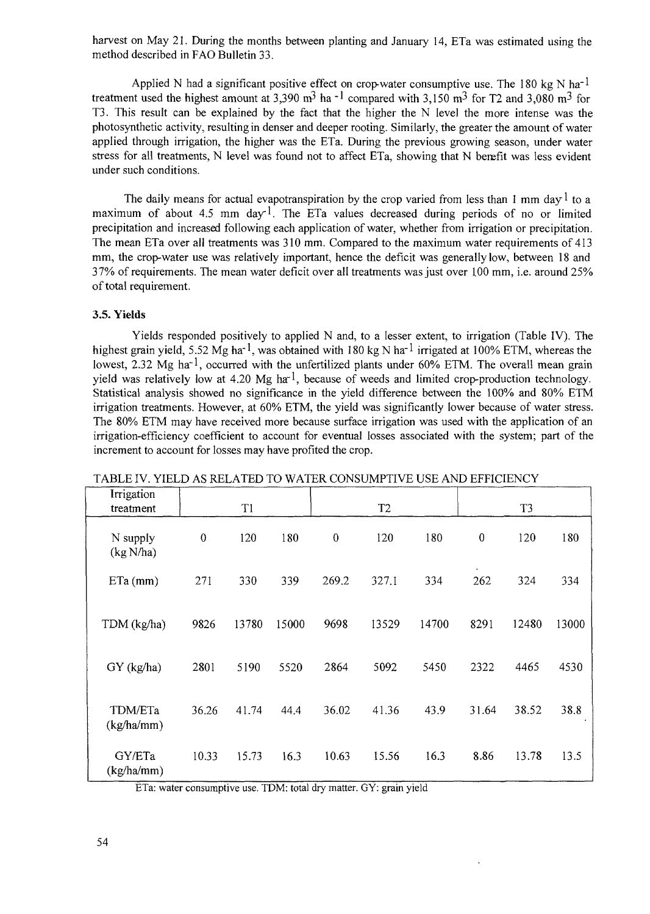harvest on May 21. During the months between planting and January 14, ETa was estimated using the method described in FAO Bulletin 33.

Applied N had a significant positive effect on crop-water consumptive use. The 180 kg N ha<sup>-1</sup> treatment used the highest amount at 3,390 m<sup>3</sup> ha  $^{-1}$  compared with 3,150 m<sup>3</sup> for T2 and 3,080 m<sup>3</sup> for T3. This result can be explained by the fact that the higher the N level the more intense was the photosynthetic activity, resulting in denser and deeper rooting. Similarly, the greater the amount of water applied through irrigation, the higher was the ETa. During the previous growing season, under water stress for all treatments, N level was found not to affect ETa, showing that N benefit was less evident under such conditions.

The daily means for actual evapotranspiration by the crop varied from less than 1 mm day  $\frac{1}{1}$  to a maximum of about 4.5 mm day<sup>1</sup>. The ETa values decreased during periods of no or limited precipitation and increased following each application of water, whether from irrigation or precipitation. The mean ETa over all treatments was 310 mm. Compared to the maximum water requirements of 413 mm, the crop-water use was relatively important, hence the deficit was generally low, between 18 and 37% of requirements. The mean water deficit over all treatments was just over 100 mm, i.e. around 25% of total requirement.

## **3.5. Yields**

Yields responded positively to applied N and, to a lesser extent, to irrigation (Table IV). The highest grain yield, 5.52 Mg ha<sup>-1</sup>, was obtained with 180 kg N ha<sup>-1</sup> irrigated at 100% ETM, whereas the lowest, 2.32 Mg ha<sup>-1</sup>, occurred with the unfertilized plants under 60% ETM. The overall mean grain yield was relatively low at 4.20 Mg ha<sup>-1</sup>, because of weeds and limited crop-production technology. Statistical analysis showed no significance in the yield difference between the 100% and 80% ETM irrigation treatments. However, at 60% ETM, the yield was significantly lower because of water stress. The 80% ETM may have received more because surface irrigation was used with the application of an irrigation-efficiency coefficient to account for eventual losses associated with the system; part of the increment to account for losses may have profited the crop.

| Irrigation<br>treatment |                  | T1    |       |                  | T <sub>2</sub> |       |                  | T <sub>3</sub> |       |
|-------------------------|------------------|-------|-------|------------------|----------------|-------|------------------|----------------|-------|
| N supply<br>(kg N/ha)   | $\boldsymbol{0}$ | 120   | 180   | $\boldsymbol{0}$ | 120            | 180   | $\boldsymbol{0}$ | 120            | 180   |
| $ETa$ (mm)              | 271              | 330   | 339   | 269.2            | 327.1          | 334   | 262              | 324            | 334   |
| TDM (kg/ha)             | 9826             | 13780 | 15000 | 9698             | 13529          | 14700 | 8291             | 12480          | 13000 |
| GY (kg/ha)              | 2801             | 5190  | 5520  | 2864             | 5092           | 5450  | 2322             | 4465           | 4530  |
| TDM/ETa<br>(kg/ha/mm)   | 36.26            | 41.74 | 44.4  | 36.02            | 41.36          | 43.9  | 31.64            | 38.52          | 38.8  |
| GY/ETa<br>(kg/ha/mm)    | 10.33            | 15.73 | 16.3  | 10.63            | 15.56          | 16.3  | 8.86             | 13.78          | 13.5  |

TABLE IV. YIELD AS RELATED TO WATER CONSUMPTIVE USE AND EFFICIENCY

ETa: water consumptive use. TDM: total dry matter. GY: grain yield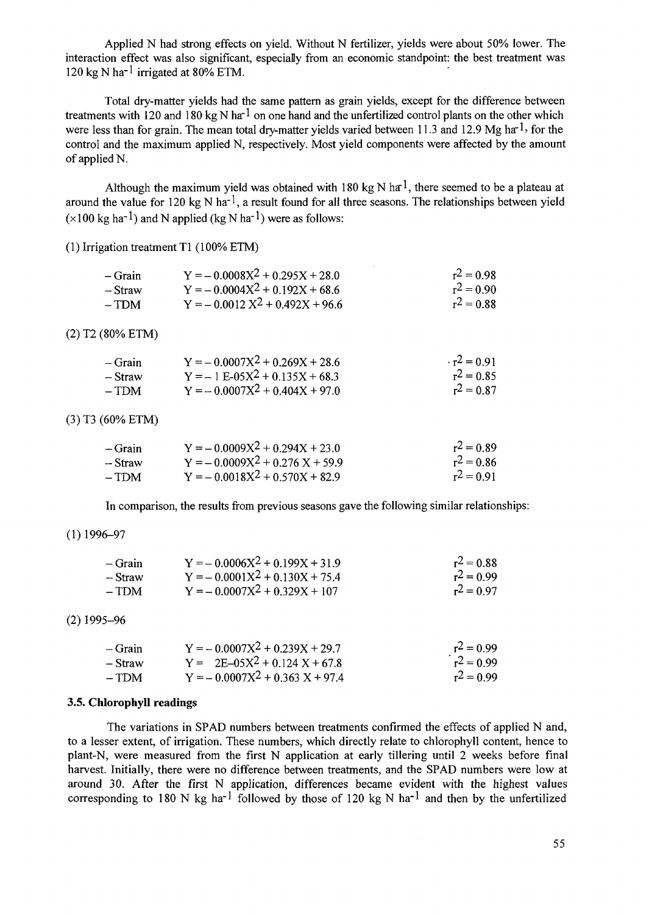Applied N had strong effects on yield. Without N fertilizer, yields were about 50% lower. The interaction effect was also significant, especially from an economic standpoint: the best treatment was 120 kg N ha<sup>-1</sup> irrigated at 80% ETM.

Total dry-matter yields had the same pattern as grain yields, except for the difference between treatments with 120 and 180 kg N ha<sup>-1</sup> on one hand and the unfertilized control plants on the other which were less than for grain. The mean total dry-matter yields varied between 11.3 and 12.9 Mg ha<sup>-1</sup>, for the control and the maximum applied N, respectively. Most yield components were affected by the amount of applied N.

Although the maximum yield was obtained with 180 kg N ha<sup>1</sup>, there seemed to be a plateau at around the value for 120 kg N ha<sup>-1</sup>, a result found for all three seasons. The relationships between yield  $(x100 \text{ kg ha}^{-1})$  and N applied (kg N ha<sup>-1</sup>) were as follows:

(1) Irrigation treatment Tl (100% ETM)

| $-$ Grain | $Y = -0.0008X^{2} + 0.295X + 28.0$ | $r^2 = 0.98$ |
|-----------|------------------------------------|--------------|
| $-S$ fraw | $Y = -0.0004X^{2} + 0.192X + 68.6$ | $r^2 = 0.90$ |
| $- TDM$   | $Y = -0.0012 X^2 + 0.492X + 96.6$  | $r^2 = 0.88$ |

(2) T2 (80% ETM)

| $-$ Grain | $Y = -0.0007X^2 + 0.269X + 28.6$ | $r^2 = 0.91$ |
|-----------|----------------------------------|--------------|
| – Straw   | $Y = -1 E-05X^2 + 0.135X + 68.3$ | $r^2 = 0.85$ |
| $- TDM$   | $Y = -0.0007X^2 + 0.404X + 97.0$ | $r^2 = 0.87$ |

## (3) T3 (60% ETM)

| – Grain | $Y = -0.0009X^2 + 0.294X + 23.0$ | $r^2 = 0.89$ |
|---------|----------------------------------|--------------|
| – Straw | $Y = -0.0009X^2 + 0.276X + 59.9$ | $r^2 = 0.86$ |
| – TDM   | $Y = -0.0018X^2 + 0.570X + 82.9$ | $r^2 = 0.91$ |

In comparison, the results from previous seasons gave the following similar relationships:

## $(1)$ 1996-97

| $-$ Grain | $Y = -0.0006X^2 + 0.199X + 31.9$   | $r^2 = 0.88$ |
|-----------|------------------------------------|--------------|
| – Straw   | $Y = -0.0001X^{2} + 0.130X + 75.4$ | $r^2 = 0.99$ |
| $- TDM$   | $Y = -0.0007X^{2} + 0.329X + 107$  | $r^2 = 0.97$ |

#### (2)1995-96

| – Grain | $Y = -0.0007X^{2} + 0.239X + 29.7$ | $r^2 = 0.99$ |
|---------|------------------------------------|--------------|
| – Straw | $Y = 2E-05X^2 + 0.124X + 67.8$     | $r^2 = 0.99$ |
| – TDM   | $Y = -0.0007X^2 + 0.363X + 97.4$   | $r^2 = 0.99$ |

#### **3.5. Chlorophyll readings**

The variations in SPAD numbers between treatments confirmed the effects of applied N and, to a lesser extent, of irrigation. These numbers, which directly relate to chlorophyll content, hence to plant-N, were measured from the first N application at early tillering until 2 weeks before final harvest. Initially, there were no difference between treatments, and the SPAD numbers were low at around 30. After the first N application, differences became evident with the highest values corresponding to 180 N kg ha<sup>-1</sup> followed by those of 120 kg N ha<sup>-1</sup> and then by the unfertilized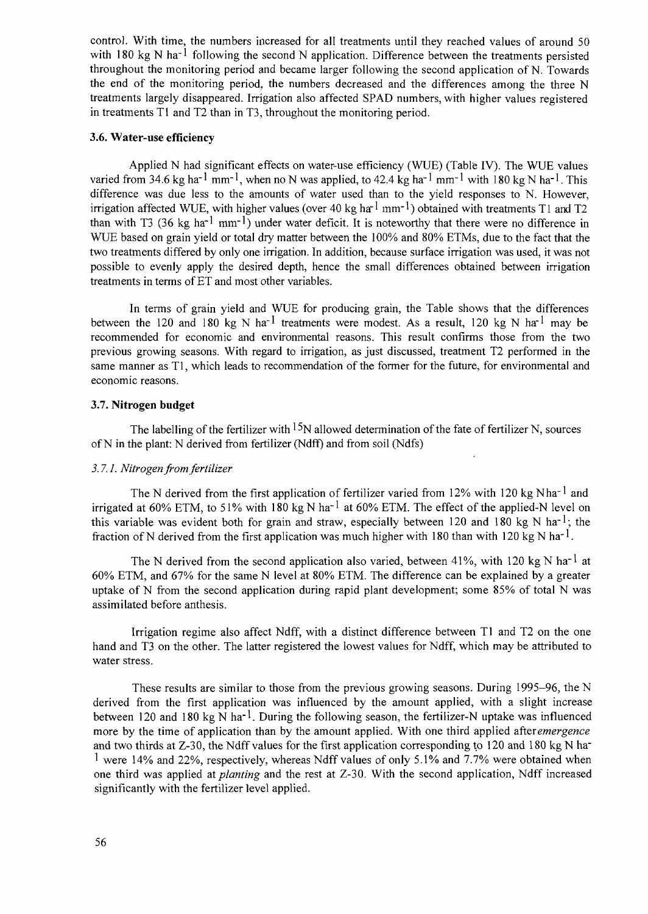control. With time, the numbers increased for all treatments until they reached values of around 50 with 180 kg N ha<sup>-1</sup> following the second N application. Difference between the treatments persisted throughout the monitoring period and became larger following the second application of N. Towards the end of the monitoring period, the numbers decreased and the differences among the three N treatments largely disappeared. Irrigation also affected SPAD numbers, with higher values registered in treatments Tl and T2 than in T3, throughout the monitoring period.

## **3.6. Water-use efficiency**

Applied N had significant effects on water-use efficiency (WUE) (Table IV). The WUE values varied from 34.6 kg ha<sup>-1</sup> mm<sup>-1</sup>, when no N was applied, to 42.4 kg ha<sup>-1</sup> mm<sup>-1</sup> with 180 kg N ha<sup>-1</sup>. This difference was due less to the amounts of water used than to the yield responses to N. However, irrigation affected WUE, with higher values (over 40 kg ha<sup>-1</sup> mm<sup>-1</sup>) obtained with treatments T1 and T2 than with T3 (36 kg ha<sup>-1</sup> mm<sup>-1</sup>) under water deficit. It is noteworthy that there were no difference in WUE based on grain yield or total dry matter between the 100% and 80% ETMs, due to the fact that the two treatments differed by only one irrigation. In addition, because surface irrigation was used, it was not possible to evenly apply the desired depth, hence the small differences obtained between irrigation treatments in terms of ET and most other variables.

In terms of grain yield and WUE for producing grain, the Table shows that the differences between the 120 and 180 kg N ha<sup>-1</sup> treatments were modest. As a result, 120 kg N ha<sup>-1</sup> may be recommended for economic and environmental reasons. This result confirms those from the two previous growing seasons. With regard to irrigation, as just discussed, treatment T2 performed in the same manner as Tl, which leads to recommendation of the former for the future, for environmental and economic reasons.

## 3.7. **Nitrogen budget**

The labelling of the fertilizer with  $^{15}N$  allowed determination of the fate of fertilizer N, sources of N in the plant: N derived from fertilizer (Ndff) and from soil (Ndfs)

### *3.7.1. Nitrogen from fertilizer*

The N derived from the first application of fertilizer varied from 12% with 120 kg Nha<sup>-1</sup> and irrigated at 60% ETM, to 51% with 180 kg N ha<sup>-1</sup> at 60% ETM. The effect of the applied-N level on this variable was evident both for grain and straw, especially between 120 and 180 kg N ha<sup>-1</sup>; the fraction of N derived from the first application was much higher with 180 than with 120 kg N ha<sup>-1</sup>.

The N derived from the second application also varied, between 41%, with 120 kg N ha<sup>-1</sup> at 60% ETM, and 67% for the same N level at 80% ETM. The difference can be explained by a greater uptake of N from the second application during rapid plant development; some 85% of total N was assimilated before anthesis.

Irrigation regime also affect Ndff, with a distinct difference between Tl and T2 on the one hand and T3 on the other. The latter registered the lowest values for Ndff, which may be attributed to water stress.

These results are similar to those from the previous growing seasons. During 1995-96, the N derived from the first application was influenced by the amount applied, with a slight increase between 120 and 180 kg N ha<sup>-1</sup>. During the following season, the fertilizer-N uptake was influenced more by the time of application than by the amount applied. With one third applied after *emergence* and two thirds at Z-30, the Ndff values for the first application corresponding to 120 and 180 kg N ha-<sup>1</sup> were 14% and 22%, respectively, whereas Ndff values of only 5.1% and 7.7% were obtained when one third was applied *at planting* and the rest at Z-30. With the second application, Ndff increased significantly with the fertilizer level applied.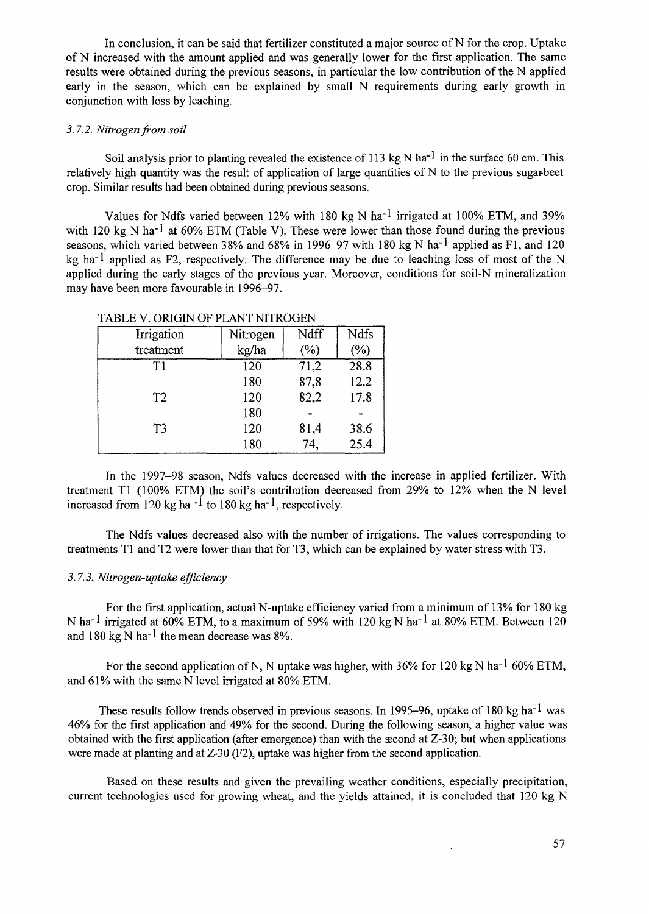In conclusion, it can be said that fertilizer constituted a major source of N for the crop. Uptake of N increased with the amount applied and was generally lower for the first application. The same results were obtained during the previous seasons, in particular the low contribution of the N applied early in the season, which can be explained by small N requirements during early growth in conjunction with loss by leaching.

## *3.7.2. Nitrogen from soil*

Soil analysis prior to planting revealed the existence of 113 kg N ha<sup>-1</sup> in the surface 60 cm. This relatively high quantity was the result of application of large quantities of N to the previous sugarbeet crop. Similar results had been obtained during previous seasons.

Values for Ndfs varied between 12% with 180 kg N ha<sup>-1</sup> irrigated at 100% ETM, and 39% with 120 kg N ha<sup>-1</sup> at 60% ETM (Table V). These were lower than those found during the previous seasons, which varied between 38% and 68% in 1996–97 with 180 kg N ha<sup>-1</sup> applied as F1, and 120 kg ha<sup>-1</sup> applied as F2, respectively. The difference may be due to leaching loss of most of the N applied during the early stages of the previous year. Moreover, conditions for soil-N mineralization may have been more favourable in 1996-97.

| Irrigation     | Nitrogen | Ndff   | Ndfs   |
|----------------|----------|--------|--------|
| treatment      | kg/ha    | $(\%)$ | $(\%)$ |
| T1             | 120      | 71,2   | 28.8   |
|                | 180      | 87,8   | 12.2   |
| T <sub>2</sub> | 120      | 82,2   | 17.8   |
|                | 180      |        |        |
| T <sub>3</sub> | 120      | 81,4   | 38.6   |
|                | 180      | 74,    | 25.4   |

TABLE V. ORIGIN OF PLANT NITROGEN

In the 1997-98 season, Ndfs values decreased with the increase in applied fertilizer. With treatment Tl (100% ETM) the soil's contribution decreased from 29% to 12% when the N level increased from 120 kg ha<sup>-1</sup> to 180 kg ha<sup>-1</sup>, respectively.

The Ndfs values decreased also with the number of irrigations. The values corresponding to treatments Tl and T2 were lower than that for T3, which can be explained by water stress with T3.

## *3.7.3. Nitrogen-uptake efficiency*

For the first application, actual N-uptake efficiency varied from a minimum of 13% for 180 kg N ha<sup>-1</sup> irrigated at 60% ETM, to a maximum of 59% with 120 kg N ha<sup>-1</sup> at 80% ETM. Between 120 and 180 kg N ha<sup>-1</sup> the mean decrease was 8%.

For the second application of N, N uptake was higher, with 36% for 120 kg N ha<sup>-1</sup> 60% ETM, and 61% with the same N level irrigated at 80% ETM.

These results follow trends observed in previous seasons. In 1995–96, uptake of 180 kg ha<sup>-1</sup> was 46% for the first application and 49% for the second. During the following season, a higher value was obtained with the first application (after emergence) than with the second at Z-30; but when applications were made at planting and at Z-30 (F2), uptake was higher from the second application.

Based on these results and given the prevailing weather conditions, especially precipitation, current technologies used for growing wheat, and the yields attained, it is concluded that 120 kg N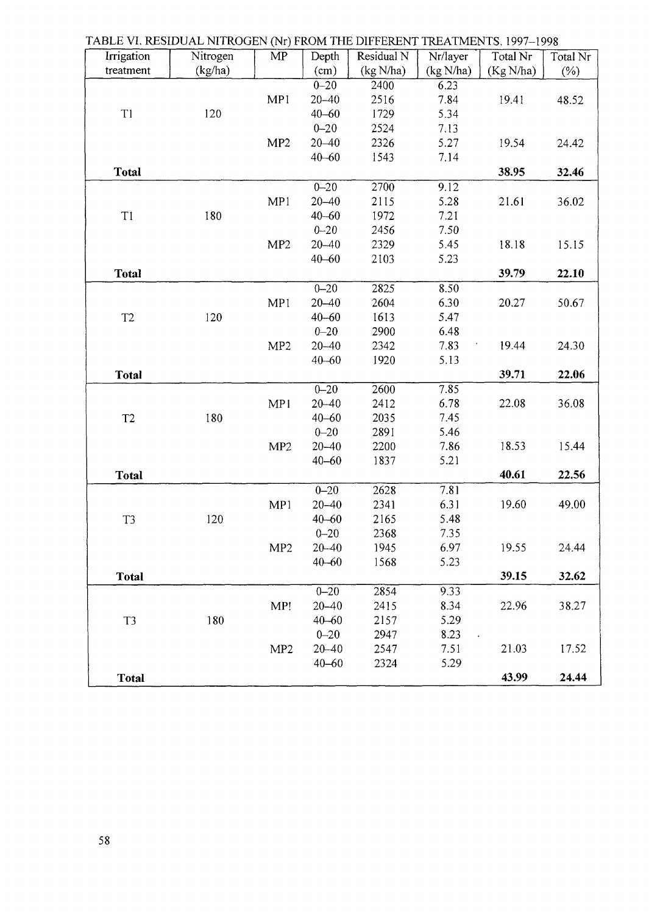| Irrigation     | Nitrogen | $\cdots$<br>$\overline{\text{MP}}$ | Depth     | Residual N | Nr/layer  | Total Nr  | Total Nr |
|----------------|----------|------------------------------------|-----------|------------|-----------|-----------|----------|
| treatment      | (kg/ha)  |                                    | (cm)      | (kg N/ha)  | (kg N/ha) | (Kg N/ha) | $(\% )$  |
|                |          |                                    | $0 - 20$  | 2400       | 6.23      |           |          |
|                |          | MP1                                | $20 - 40$ | 2516       | 7.84      | 19.41     | 48.52    |
| T1             | 120      |                                    | $40 - 60$ | 1729       | 5.34      |           |          |
|                |          |                                    | $0 - 20$  | 2524       | 7.13      |           |          |
|                |          | MP <sub>2</sub>                    | $20 - 40$ | 2326       | 5.27      | 19.54     | 24.42    |
|                |          |                                    | $40 - 60$ | 1543       | 7.14      |           |          |
| Total          |          |                                    |           |            |           | 38.95     | 32.46    |
|                |          |                                    | $0 - 20$  | 2700       | 9.12      |           |          |
|                |          | MP1                                | $20 - 40$ | 2115       | 5.28      | 21.61     | 36.02    |
| T1             | 180      |                                    | $40 - 60$ | 1972       | 7.21      |           |          |
|                |          |                                    | $0 - 20$  | 2456       | 7.50      |           |          |
|                |          | MP2                                | $20 - 40$ | 2329       | 5.45      | 18.18     | 15.15    |
|                |          |                                    | $40 - 60$ | 2103       | 5.23      |           |          |
| <b>Total</b>   |          |                                    |           |            |           | 39.79     | 22.10    |
|                |          |                                    | $0 - 20$  | 2825       | 8.50      |           |          |
|                |          | MP1                                | $20 - 40$ | 2604       | 6.30      | 20.27     | 50.67    |
| T <sub>2</sub> | 120      |                                    | $40 - 60$ | 1613       | 5.47      |           |          |
|                |          |                                    | $0 - 20$  | 2900       | 6.48      |           |          |
|                |          | MP <sub>2</sub>                    | $20 - 40$ | 2342       | 7.83      | 19.44     | 24.30    |
|                |          |                                    | $40 - 60$ | 1920       | 5.13      |           |          |
| Total          |          |                                    |           |            |           | 39.71     | 22.06    |
|                |          |                                    | $0 - 20$  | 2600       | 7.85      |           |          |
|                |          | MP1                                | $20 - 40$ | 2412       | 6.78      | 22.08     | 36.08    |
| T <sub>2</sub> | 180      |                                    | $40 - 60$ | 2035       | 7.45      |           |          |
|                |          |                                    | $0 - 20$  | 2891       | 5.46      |           |          |
|                |          | MP <sub>2</sub>                    | $20 - 40$ | 2200       | 7.86      | 18.53     | 15.44    |
|                |          |                                    | $40 - 60$ | 1837       | 5.21      |           |          |
| Total          |          |                                    |           |            |           | 40.61     | 22.56    |
|                |          |                                    | $0 - 20$  | 2628       | 7.81      |           |          |
|                |          | MP1                                | $20 - 40$ | 2341       | 6.31      | 19.60     | 49.00    |
| T <sub>3</sub> | 120      |                                    | $40 - 60$ | 2165       | 5.48      |           |          |
|                |          |                                    | $0 - 20$  | 2368       | 7.35      |           |          |
|                |          | MP <sub>2</sub>                    | $20 - 40$ | 1945       | 6.97      | 19.55     | 24.44    |
|                |          |                                    | $40 - 60$ | 1568       | 5.23      |           |          |
| <b>Total</b>   |          |                                    |           |            |           | 39.15     | 32.62    |
|                |          |                                    | $0 - 20$  | 2854       | 9.33      |           |          |
|                |          | MP!                                | $20 - 40$ | 2415       | 8.34      | 22.96     | 38.27    |
| T3             | 180      |                                    | $40 - 60$ | 2157       | 5.29      |           |          |
|                |          |                                    | $0 - 20$  | 2947       | 8.23      |           |          |
|                |          | MP <sub>2</sub>                    | $20 - 40$ | 2547       | 7.51      | 21.03     | 17.52    |
|                |          |                                    | $40 - 60$ | 2324       | 5.29      |           |          |
| Total          |          |                                    |           |            |           | 43.99     | 24.44    |
|                |          |                                    |           |            |           |           |          |

TABLE VI. RESIDUAL NITROGEN (Nr) FROM THE DIFFERENT TREATMENTS. 1997- 1998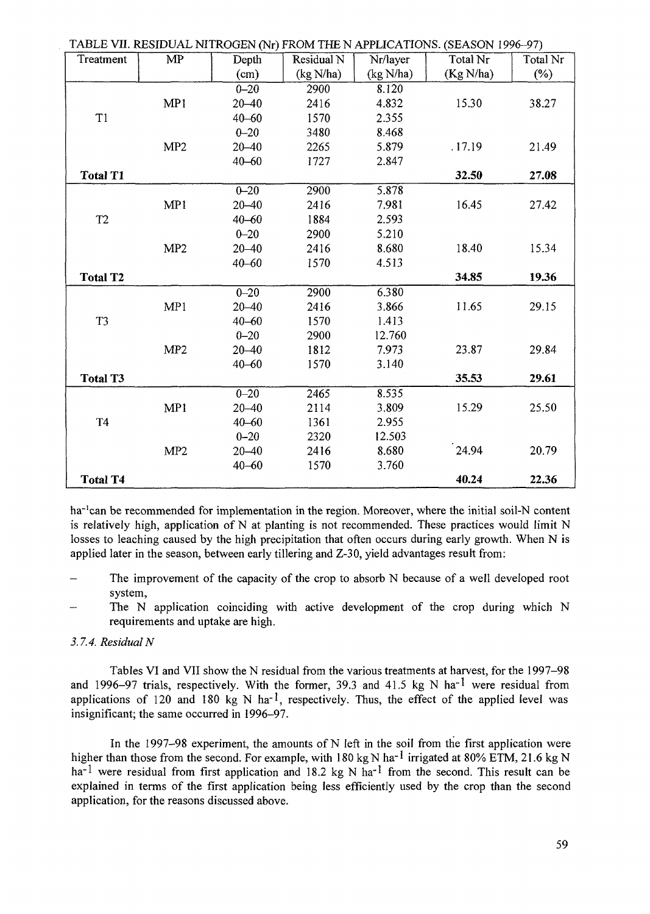| TABLE VII. RESIDUAL NITROGEN (Nr) FROM THE N APPLICATIONS. (SEASON 1996-97) |                        |           |            |           |           |          |  |  |  |
|-----------------------------------------------------------------------------|------------------------|-----------|------------|-----------|-----------|----------|--|--|--|
| Treatment                                                                   | $\overline{\text{MP}}$ | Depth     | Residual N | Nr/layer  | Total Nr  | Total Nr |  |  |  |
|                                                                             |                        | (cm)      | (kg N/ha)  | (kg N/ha) | (Kg N/ha) | $(\%)$   |  |  |  |
|                                                                             |                        | $0 - 20$  | 2900       | 8.120     |           |          |  |  |  |
|                                                                             | MP1                    | $20 - 40$ | 2416       | 4.832     | 15.30     | 38.27    |  |  |  |
| T1                                                                          |                        | $40 - 60$ | 1570       | 2.355     |           |          |  |  |  |
|                                                                             |                        | $0 - 20$  | 3480       | 8.468     |           |          |  |  |  |
|                                                                             | MP <sub>2</sub>        | $20 - 40$ | 2265       | 5.879     | .17.19    | 21.49    |  |  |  |
|                                                                             |                        | $40 - 60$ | 1727       | 2.847     |           |          |  |  |  |
| <b>Total T1</b>                                                             |                        |           |            |           | 32.50     | 27.08    |  |  |  |
|                                                                             |                        | $0 - 20$  | 2900       | 5.878     |           |          |  |  |  |
|                                                                             | MP1                    | $20 - 40$ | 2416       | 7.981     | 16.45     | 27.42    |  |  |  |
| T <sub>2</sub>                                                              |                        | $40 - 60$ | 1884       | 2.593     |           |          |  |  |  |
|                                                                             |                        | $0 - 20$  | 2900       | 5.210     |           |          |  |  |  |
|                                                                             | MP <sub>2</sub>        | $20 - 40$ | 2416       | 8.680     | 18.40     | 15.34    |  |  |  |
|                                                                             |                        | $40 - 60$ | 1570       | 4.513     |           |          |  |  |  |
| <b>Total T2</b>                                                             |                        |           |            |           | 34.85     | 19.36    |  |  |  |
|                                                                             |                        | $0 - 20$  | 2900       | 6.380     |           |          |  |  |  |
|                                                                             | MP1                    | $20 - 40$ | 2416       | 3.866     | 11.65     | 29.15    |  |  |  |
| T <sub>3</sub>                                                              |                        | $40 - 60$ | 1570       | 1.413     |           |          |  |  |  |
|                                                                             |                        | $0 - 20$  | 2900       | 12.760    |           |          |  |  |  |
|                                                                             | MP <sub>2</sub>        | $20 - 40$ | 1812       | 7.973     | 23.87     | 29.84    |  |  |  |
|                                                                             |                        | $40 - 60$ | 1570       | 3.140     |           |          |  |  |  |
| <b>Total T3</b>                                                             |                        |           |            |           | 35.53     | 29.61    |  |  |  |
|                                                                             |                        | $0 - 20$  | 2465       | 8.535     |           |          |  |  |  |
|                                                                             | MP1                    | $20 - 40$ | 2114       | 3.809     | 15.29     | 25.50    |  |  |  |
| <b>T4</b>                                                                   |                        | $40 - 60$ | 1361       | 2.955     |           |          |  |  |  |
|                                                                             |                        | $0 - 20$  | 2320       | 12.503    |           |          |  |  |  |
|                                                                             | MP <sub>2</sub>        | $20 - 40$ | 2416       | 8.680     | 24.94     | 20.79    |  |  |  |
|                                                                             |                        | $40 - 60$ | 1570       | 3.760     |           |          |  |  |  |
| <b>Total T4</b>                                                             |                        |           |            |           | 40.24     | 22.36    |  |  |  |

ha<sup>-1</sup>can be recommended for implementation in the region. Moreover, where the initial soil-N content is relatively high, application of  $N$  at planting is not recommended. These practices would limit  $N$ losses to leaching caused by the high precipitation that often occurs during early growth. When N is applied later in the season, between early tillering and Z-30, yield advantages result from:

- The improvement of the capacity of the crop to absorb N because of a well developed root system,
- The N application coinciding with active development of the crop during which N requirements and uptake are high.

## *3.7.4. Residual N*

Tables VI and VII show the N residual from the various treatments at harvest, for the 1997-98 and 1996-97 trials, respectively. With the former, 39.3 and 41.5 kg N ha<sup>-1</sup> were residual from applications of 120 and 180 kg N ha<sup>-1</sup>, respectively. Thus, the effect of the applied level was insignificant; the same occurred in 1996-97.

In the 1997-98 experiment, the amounts of N left in the soil from the first application were higher than those from the second. For example, with 180 kg N ha<sup>-1</sup> irrigated at 80% ETM, 21.6 kg N ha<sup>-1</sup> were residual from first application and 18.2 kg N ha<sup>-1</sup> from the second. This result can be explained in terms of the first application being less efficiently used by the crop than the second application, for the reasons discussed above.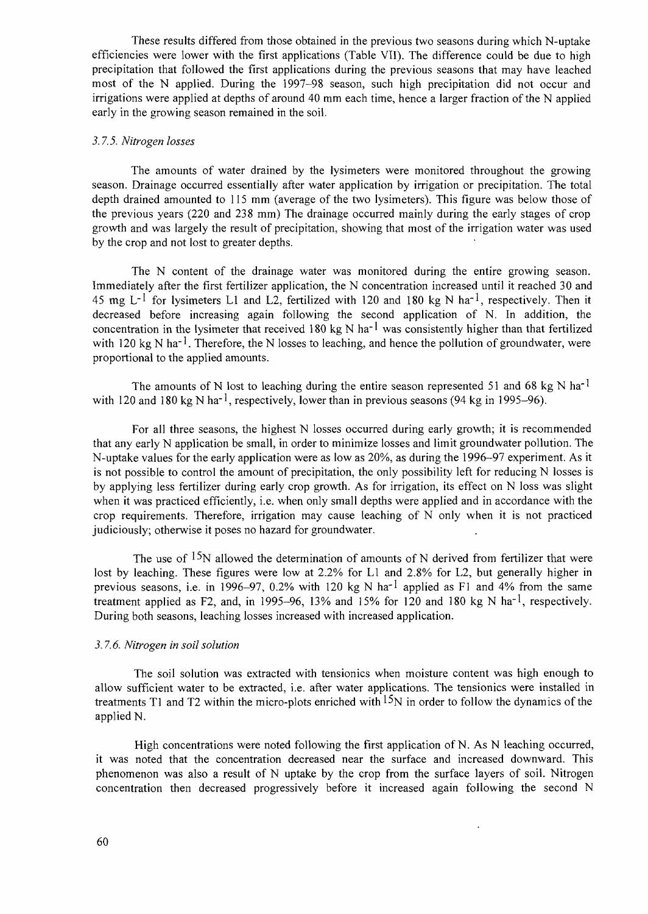These results differed from those obtained in the previous two seasons during which N-uptake efficiencies were lower with the first applications (Table VII). The difference could be due to high precipitation that followed the first applications during the previous seasons that may have leached most of the N applied. During the 1997-98 season, such high precipitation did not occur and irrigations were applied at depths of around 40 mm each time, hence a larger fraction of the N applied early in the growing season remained in the soil.

## *3.7.5. Nitrogen losses*

The amounts of water drained by the lysimeters were monitored throughout the growing season. Drainage occurred essentially after water application by irrigation or precipitation. The total depth drained amounted to 115 mm (average of the two lysimeters). This figure was below those of the previous years (220 and 238 mm) The drainage occurred mainly during the early stages of crop growth and was largely the result of precipitation, showing that most of the irrigation water was used by the crop and not lost to greater depths.

The N content of the drainage water was monitored during the entire growing season. Immediately after the first fertilizer application, the N concentration increased until it reached 30 and 45 mg L<sup>-1</sup> for lysimeters L1 and L2, fertilized with 120 and 180 kg N ha<sup>-1</sup>, respectively. Then it decreased before increasing again following the second application of N. In addition, the concentration in the lysimeter that received 180 kg N ha<sup>-1</sup> was consistently higher than that fertilized with 120 kg N ha<sup>-1</sup>. Therefore, the N losses to leaching, and hence the pollution of groundwater, were proportional to the applied amounts.

The amounts of N lost to leaching during the entire season represented 51 and 68 kg N ha<sup>-1</sup> with 120 and 180 kg N ha<sup>-1</sup>, respectively, lower than in previous seasons (94 kg in 1995–96).

For all three seasons, the highest N losses occurred during early growth; it is recommended that any early N application be small, in order to minimize losses and limit groundwater pollution. The N-uptake values for the early application were as low as 20%, as during the 1996-97 experiment. As it is not possible to control the amount of precipitation, the only possibility left for reducing N losses is by applying less fertilizer during early crop growth. As for irrigation, its effect on N loss was slight when it was practiced efficiently, i.e. when only small depths were applied and in accordance with the crop requirements. Therefore, irrigation may cause leaching of N only when it is not practiced judiciously; otherwise it poses no hazard for groundwater.

The use of  $15N$  allowed the determination of amounts of N derived from fertilizer that were lost by leaching. These figures were low at 2.2% for LI and 2.8% for L2, but generally higher in previous seasons, i.e. in 1996–97, 0.2% with 120 kg N ha<sup>-1</sup> applied as F1 and 4% from the same treatment applied as F2, and, in 1995-96, 13% and 15% for 120 and 180 kg N ha<sup>-1</sup>, respectively. During both seasons, leaching losses increased with increased application.

#### *3.7.6. Nitrogen in soil solution*

The soil solution was extracted with tensionics when moisture content was high enough to allow sufficient water to be extracted, i.e. after water applications. The tensionics were installed in treatments T1 and T2 within the micro-plots enriched with  $15N$  in order to follow the dynamics of the applied N.

High concentrations were noted following the first application of N. As N leaching occurred, it was noted that the concentration decreased near the surface and increased downward. This phenomenon was also a result of N uptake by the crop from the surface layers of soil. Nitrogen concentration then decreased progressively before it increased again following the second N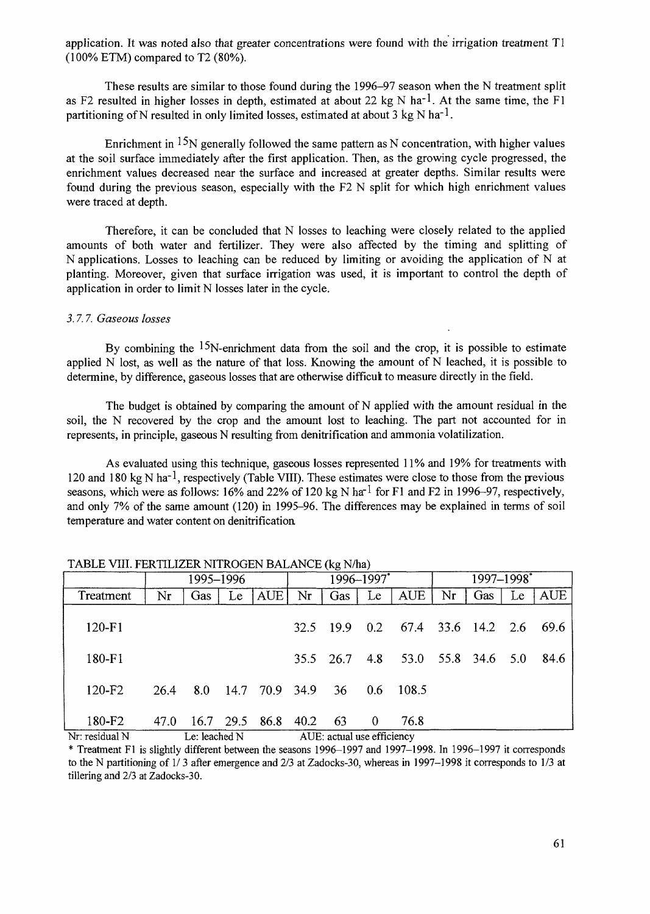application. It was noted also that greater concentrations were found with the irrigation treatment Tl (100% ETM) compared to T2 (80%).

These results are similar to those found during the 1996-97 season when the N treatment split as F2 resulted in higher losses in depth, estimated at about 22 kg N ha<sup>-1</sup>. At the same time, the F1 partitioning of N resulted in only limited losses, estimated at about 3 kg N ha<sup>-1</sup>.

Enrichment in  $15N$  generally followed the same pattern as N concentration, with higher values at the soil surface immediately after the first application. Then, as the growing cycle progressed, the enrichment values decreased near the surface and increased at greater depths. Similar results were found during the previous season, especially with the F2 N split for which high enrichment values were traced at depth.

Therefore, it can be concluded that N losses to leaching were closely related to the applied amounts of both water and fertilizer. They were also affected by the timing and splitting of N applications. Losses to leaching can be reduced by limiting or avoiding the application of N at planting. Moreover, given that surface irrigation was used, it is important to control the depth of application in order to limit N losses later in the cycle.

### *3.7.7. Gaseous losses*

By combining the  $15N$ -enrichment data from the soil and the crop, it is possible to estimate applied N lost, as well as the nature of that loss. Knowing the amount of N leached, it is possible to determine, by difference, gaseous losses that are otherwise difficult to measure directly in the field.

The budget is obtained by comparing the amount of N applied with the amount residual in the soil, the N recovered by the crop and the amount lost to leaching. The part not accounted for in represents, in principle, gaseous N resulting from denitrification and ammonia volatilization.

As evaluated using this technique, gaseous losses represented 11% and 19% for treatments with 120 and 180 kg N ha<sup>-1</sup>, respectively (Table VIII). These estimates were close to those from the previous seasons, which were as follows: 16% and 22% of 120 kg N ha<sup>-1</sup> for F1 and F2 in 1996-97, respectively, and only 7% of the same amount (120) in 1995-96. The differences may be explained in terms of soil temperature and water content on denitrification.

|                    | 1995–1996     |     |    | 1996-1997*          |      |                            |                 | 1997-1998*             |    |                    |    |            |
|--------------------|---------------|-----|----|---------------------|------|----------------------------|-----------------|------------------------|----|--------------------|----|------------|
| Treatment          | Nr            | Gas | Le | AUE                 | Nr   | Gas                        | Le              | <b>AUE</b>             | Nr | Gas                | Le | <b>AUE</b> |
| $120 - F1$         |               |     |    |                     | 32.5 | -199                       |                 | 0.2 67.4 33.6 14.2 2.6 |    |                    |    | 69.6       |
| 180-F1             |               |     |    |                     |      | 35.5 26.7                  | 4.8             |                        |    | 53.0 55.8 34.6 5.0 |    | 84.6       |
| 120-F <sub>2</sub> | 26.4          | 8.0 |    | 14.7 70.9 34.9 36   |      |                            | 0.6             | - 108.5                |    |                    |    |            |
| 180-F2             | 47.0          |     |    | 16.7 29.5 86.8 40.2 |      | - 63                       | $\vert 0 \vert$ | 76.8                   |    |                    |    |            |
| Nr: residual N     | Le: leached N |     |    |                     |      | AUE: actual use efficiency |                 |                        |    |                    |    |            |

TABLE VIII. FERTILIZER NITROGEN BALANCE (kg N/ha)

\* Treatment Fl is slightly different between the seasons 1996-1997 and 1997-1998. In 1996-1997 it corresponds to the N partitioning of 1/ 3 after emergence and 2/3 at Zadocks-30, whereas in 1997-1998 it corresponds to 1/3 at tillering and 2/3 at Zadocks-30.